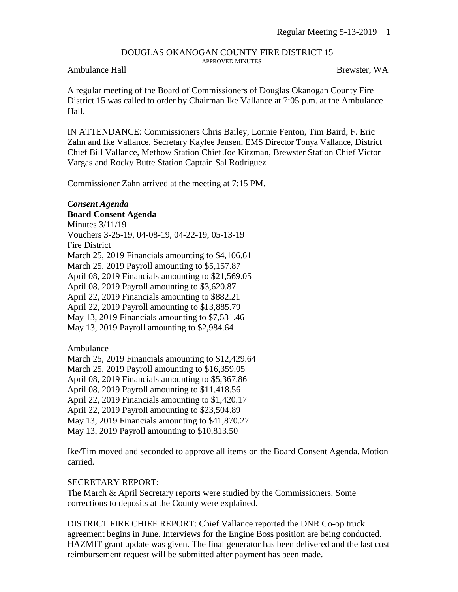#### DOUGLAS OKANOGAN COUNTY FIRE DISTRICT 15 APPROVED MINUTES

#### Ambulance Hall Brewster, WA

A regular meeting of the Board of Commissioners of Douglas Okanogan County Fire District 15 was called to order by Chairman Ike Vallance at 7:05 p.m. at the Ambulance Hall.

IN ATTENDANCE: Commissioners Chris Bailey, Lonnie Fenton, Tim Baird, F. Eric Zahn and Ike Vallance, Secretary Kaylee Jensen, EMS Director Tonya Vallance, District Chief Bill Vallance, Methow Station Chief Joe Kitzman, Brewster Station Chief Victor Vargas and Rocky Butte Station Captain Sal Rodriguez

Commissioner Zahn arrived at the meeting at 7:15 PM.

## *Consent Agenda*

**Board Consent Agenda** Minutes 3/11/19 Vouchers 3-25-19, 04-08-19, 04-22-19, 05-13-19 Fire District March 25, 2019 Financials amounting to \$4,106.61 March 25, 2019 Payroll amounting to \$5,157.87 April 08, 2019 Financials amounting to \$21,569.05 April 08, 2019 Payroll amounting to \$3,620.87 April 22, 2019 Financials amounting to \$882.21 April 22, 2019 Payroll amounting to \$13,885.79 May 13, 2019 Financials amounting to \$7,531.46 May 13, 2019 Payroll amounting to \$2,984.64

Ambulance

March 25, 2019 Financials amounting to \$12,429.64

March 25, 2019 Payroll amounting to \$16,359.05

April 08, 2019 Financials amounting to \$5,367.86

April 08, 2019 Payroll amounting to \$11,418.56

April 22, 2019 Financials amounting to \$1,420.17

April 22, 2019 Payroll amounting to \$23,504.89

May 13, 2019 Financials amounting to \$41,870.27

May 13, 2019 Payroll amounting to \$10,813.50

Ike/Tim moved and seconded to approve all items on the Board Consent Agenda. Motion carried.

## SECRETARY REPORT:

The March & April Secretary reports were studied by the Commissioners. Some corrections to deposits at the County were explained.

DISTRICT FIRE CHIEF REPORT: Chief Vallance reported the DNR Co-op truck agreement begins in June. Interviews for the Engine Boss position are being conducted. HAZMIT grant update was given. The final generator has been delivered and the last cost reimbursement request will be submitted after payment has been made.